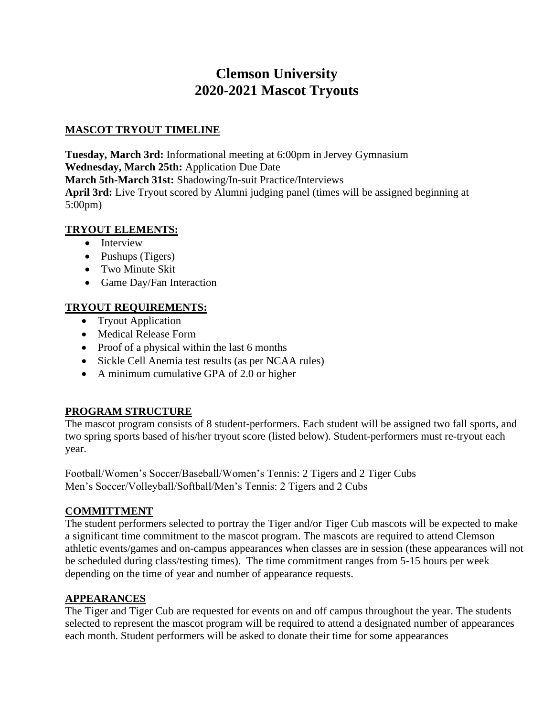# **Clemson University 2020-2021 Mascot Tryouts**

#### **MASCOT TRYOUT TIMELINE**

**Tuesday, March 3rd:** Informational meeting at 6:00pm in Jervey Gymnasium **Wednesday, March 25th:** Application Due Date **March 5th-March 31st:** Shadowing/In-suit Practice/Interviews **April 3rd:** Live Tryout scored by Alumni judging panel (times will be assigned beginning at 5:00pm)

#### **TRYOUT ELEMENTS:**

- Interview
- Pushups (Tigers)
- Two Minute Skit
- Game Day/Fan Interaction

# **TRYOUT REQUIREMENTS:**

- Tryout Application
- Medical Release Form
- Proof of a physical within the last 6 months
- Sickle Cell Anemia test results (as per NCAA rules)
- A minimum cumulative GPA of 2.0 or higher

# **PROGRAM STRUCTURE**

The mascot program consists of 8 student-performers. Each student will be assigned two fall sports, and two spring sports based of his/her tryout score (listed below). Student-performers must re-tryout each year.

Football/Women's Soccer/Baseball/Women's Tennis: 2 Tigers and 2 Tiger Cubs Men's Soccer/Volleyball/Softball/Men's Tennis: 2 Tigers and 2 Cubs

# **COMMITTMENT**

The student performers selected to portray the Tiger and/or Tiger Cub mascots will be expected to make a significant time commitment to the mascot program. The mascots are required to attend Clemson athletic events/games and on-campus appearances when classes are in session (these appearances will not be scheduled during class/testing times). The time commitment ranges from 5-15 hours per week depending on the time of year and number of appearance requests.

#### **APPEARANCES**

The Tiger and Tiger Cub are requested for events on and off campus throughout the year. The students selected to represent the mascot program will be required to attend a designated number of appearances each month. Student performers will be asked to donate their time for some appearances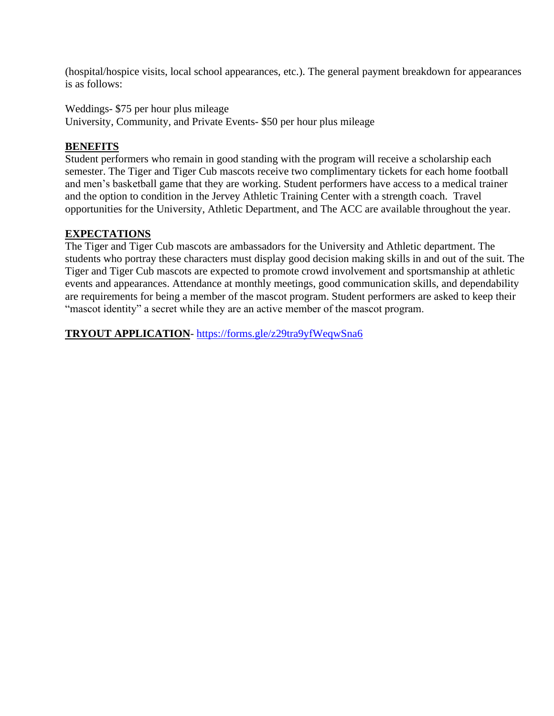(hospital/hospice visits, local school appearances, etc.). The general payment breakdown for appearances is as follows:

Weddings- \$75 per hour plus mileage

University, Community, and Private Events- \$50 per hour plus mileage

#### **BENEFITS**

Student performers who remain in good standing with the program will receive a scholarship each semester. The Tiger and Tiger Cub mascots receive two complimentary tickets for each home football and men's basketball game that they are working. Student performers have access to a medical trainer and the option to condition in the Jervey Athletic Training Center with a strength coach. Travel opportunities for the University, Athletic Department, and The ACC are available throughout the year.

# **EXPECTATIONS**

The Tiger and Tiger Cub mascots are ambassadors for the University and Athletic department. The students who portray these characters must display good decision making skills in and out of the suit. The Tiger and Tiger Cub mascots are expected to promote crowd involvement and sportsmanship at athletic events and appearances. Attendance at monthly meetings, good communication skills, and dependability are requirements for being a member of the mascot program. Student performers are asked to keep their "mascot identity" a secret while they are an active member of the mascot program.

**TRYOUT APPLICATION**- <https://forms.gle/z29tra9yfWeqwSna6>